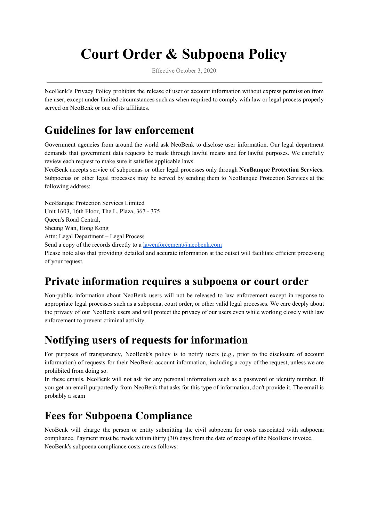# **Court Order & Subpoena Policy**

Effective October 3, 2020

NeoBenk's Privacy Policy prohibits the release of user or account information without express permission from the user, except under limited circumstances such as when required to comply with law or legal process properly served on NeoBenk or one of its affiliates.

## **Guidelines for law enforcement**

Government agencies from around the world ask NeoBenk to disclose user information. Our legal department demands that government data requests be made through lawful means and for lawful purposes. We carefully review each request to make sure it satisfies applicable laws.

NeoBenk accepts service of subpoenas or other legal processes only through **NeoBanque Protection Services**. Subpoenas or other legal processes may be served by sending them to NeoBanque Protection Services at the following address:

NeoBanque Protection Services Limited Unit 1603, 16th Floor, The L. Plaza, 367 - 375 Queen's Road Central, Sheung Wan, Hong Kong Attn: Legal Department – Legal Process Send a copy of the records directly to a [lawenforcement@neobenk.com](mailto:lawenforcement@neobenk.com) Please note also that providing detailed and accurate information at the outset will facilitate efficient processing of your request.

### **Private information requires a subpoena or court order**

Non-public information about NeoBenk users will not be released to law enforcement except in response to appropriate legal processes such as a subpoena, court order, or other valid legal processes. We care deeply about the privacy of our NeoBenk users and will protect the privacy of our users even while working closely with law enforcement to prevent criminal activity.

#### **Notifying users of requests for information**

For purposes of transparency, NeoBenk's policy is to notify users (e.g., prior to the disclosure of account information) of requests for their NeoBenk account information, including a copy of the request, unless we are prohibited from doing so.

In these emails, NeoBenk will not ask for any personal information such as a password or identity number. If you get an email purportedly from NeoBenk that asks for this type of information, don't provide it. The email is probably a scam

## **Fees for Subpoena Compliance**

NeoBenk will charge the person or entity submitting the civil subpoena for costs associated with subpoena compliance. Payment must be made within thirty (30) days from the date of receipt of the NeoBenk invoice. NeoBenk's subpoena compliance costs are as follows: